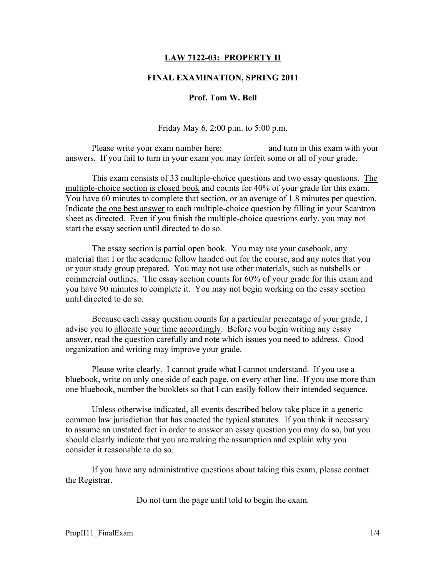## LAW 7122-03: PROPERTY II

## FINAL EXAMINATION, SPRING 2011

## Prof. Tom W. Bell

Friday May 6, 2:00 p.m. to 5:00 p.m.

Please write your exam number here: and turn in this exam with your answers. If you fail to turn in your exam you may forfeit some or all of your grade.

This exam consists of 33 multiple-choice questions and two essay questions. The multiple-choice section is closed book and counts for 40% of your grade for this exam. You have 60 minutes to complete that section, or an average of 1.8 minutes per question. Indicate the one best answer to each multiple-choice question by filling in your Scantron sheet as directed. Even if you finish the multiple-choice questions early, you may not start the essay section until directed to do so.

The essay section is partial open book. You may use your casebook, any material that I or the academic fellow handed out for the course, and any notes that you or your study group prepared. You may not use other materials, such as nutshells or commercial outlines. The essay section counts for 60% of your grade for this exam and you have 90 minutes to complete it. You may not begin working on the essay section until directed to do so.

Because each essay question counts for a particular percentage of your grade, I advise you to allocate your time accordingly. Before you begin writing any essay answer, read the question carefully and note which issues you need to address. Good organization and writing may improve your grade.

Please write clearly. I cannot grade what I cannot understand. If you use a bluebook, write on only one side of each page, on every other line. If you use more than one bluebook, number the booklets so that I can easily follow their intended sequence.

Unless otherwise indicated, all events described below take place in a generic common law jurisdiction that has enacted the typical statutes. If you think it necessary to assume an unstated fact in order to answer an essay question you may do so, but you should clearly indicate that you are making the assumption and explain why you consider it reasonable to do so.

If you have any administrative questions about taking this exam, please contact the Registrar.

Do not turn the page until told to begin the exam.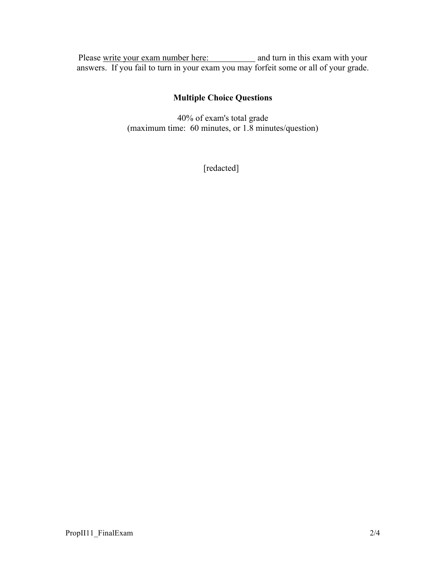Please write your exam number here: and turn in this exam with your answers. If you fail to turn in your exam you may forfeit some or all of your grade.

# Multiple Choice Questions

40% of exam's total grade (maximum time: 60 minutes, or 1.8 minutes/question)

[redacted]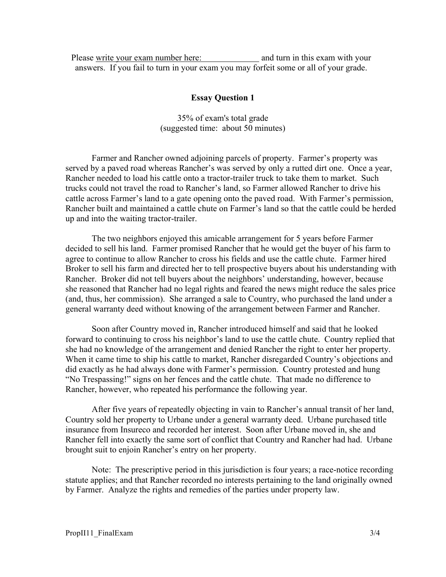Please write your exam number here: and turn in this exam with your answers. If you fail to turn in your exam you may forfeit some or all of your grade.

#### Essay Question 1

35% of exam's total grade (suggested time: about 50 minutes)

Farmer and Rancher owned adjoining parcels of property. Farmer's property was served by a paved road whereas Rancher's was served by only a rutted dirt one. Once a year, Rancher needed to load his cattle onto a tractor-trailer truck to take them to market. Such trucks could not travel the road to Rancher's land, so Farmer allowed Rancher to drive his cattle across Farmer's land to a gate opening onto the paved road. With Farmer's permission, Rancher built and maintained a cattle chute on Farmer's land so that the cattle could be herded up and into the waiting tractor-trailer.

The two neighbors enjoyed this amicable arrangement for 5 years before Farmer decided to sell his land. Farmer promised Rancher that he would get the buyer of his farm to agree to continue to allow Rancher to cross his fields and use the cattle chute. Farmer hired Broker to sell his farm and directed her to tell prospective buyers about his understanding with Rancher. Broker did not tell buyers about the neighbors' understanding, however, because she reasoned that Rancher had no legal rights and feared the news might reduce the sales price (and, thus, her commission). She arranged a sale to Country, who purchased the land under a general warranty deed without knowing of the arrangement between Farmer and Rancher.

Soon after Country moved in, Rancher introduced himself and said that he looked forward to continuing to cross his neighbor's land to use the cattle chute. Country replied that she had no knowledge of the arrangement and denied Rancher the right to enter her property. When it came time to ship his cattle to market, Rancher disregarded Country's objections and did exactly as he had always done with Farmer's permission. Country protested and hung "No Trespassing!" signs on her fences and the cattle chute. That made no difference to Rancher, however, who repeated his performance the following year.

After five years of repeatedly objecting in vain to Rancher's annual transit of her land, Country sold her property to Urbane under a general warranty deed. Urbane purchased title insurance from Insureco and recorded her interest. Soon after Urbane moved in, she and Rancher fell into exactly the same sort of conflict that Country and Rancher had had. Urbane brought suit to enjoin Rancher's entry on her property.

Note: The prescriptive period in this jurisdiction is four years; a race-notice recording statute applies; and that Rancher recorded no interests pertaining to the land originally owned by Farmer. Analyze the rights and remedies of the parties under property law.